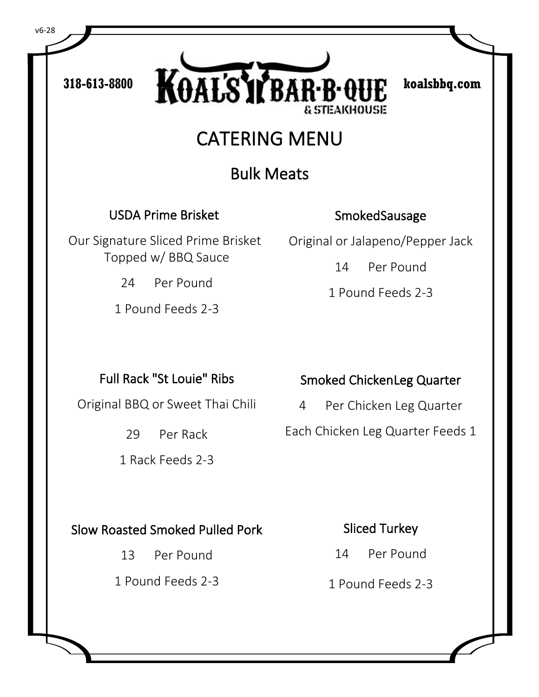318-613-8800 **KOAL'S'T BAR-B-QUE** koalsbbq.com **& STEAKHOUSE** 

# CATERING MENU

## Bulk Meats

USDA Prime Brisket

Our Signature Sliced Prime Brisket Topped w/ BBQ Sauce

24 Per Pound

1 Pound Feeds 2-3

#### **Smoked Sausage**

Original or Jalapeno/Pepper Jack

14 Per Pound

1 Pound Feeds 2-3

### Full Rack "St Louie" Ribs

Original BBQ or Sweet Thai Chili

29 Per Rack

1 Rack Feeds 2-3

### Smoked Chicken Leg Quarter

4 Per Chicken Leg Quarter Each Chicken Leg Quarter Feeds 1

### Slow Roasted Smoked Pulled Pork

13 Per Pound

1 Pound Feeds 2-3

### Sliced Turkey

- 14 Per Pound
- 1 Pound Feeds 2-3

v6-28